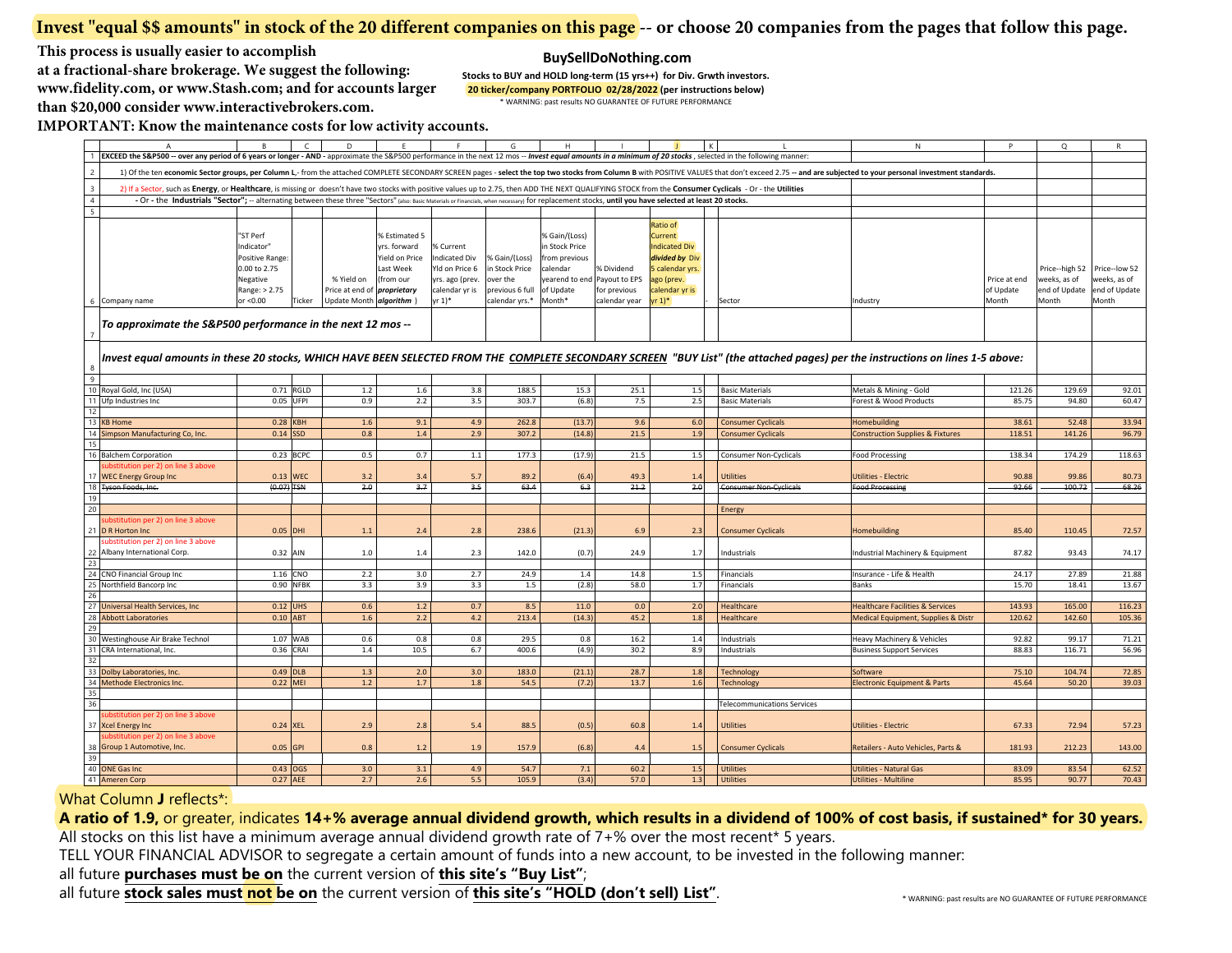## **Invest "equal \$\$ amounts" in stock of the 20 different companies on this page -- or choose 20 companies from the pages that follow this page.**

**This process is usually easier to accomplish**

 **at a fractional-share brokerage. We suggest the following: www.fidelity.com, or www.Stash.com; and for accounts largerthan \$20,000 consider www.interactivebrokers.com.** 

**BuySellDoNothing.com Stocks to BUY and HOLD long‐term (15 yrs++) for Div. Grwth investors. 20 ticker/company PORTFOLIO 02/28/2022 (per instructions below)**

\* WARNING: past results NO GUARANTEE OF FUTURE PERFORMANCE

**IMPORTANT: Know the maintenance costs for low activity accounts.**

|                | A<br>EXCEED the S&P500 -- over any period of 6 years or longer - AND - approximate the S&P500 performance in the next 12 mos -- Invest equal amounts in a minimum of 20 stocks, selected in the following manner:                                                                                                                                                                                                    | R.                                                                                                 | $\epsilon$  | D                                                                            |                                                                           |                                                                                             | G                                                                                | H                                                                                                                   |                                             |                                                                                                                              |                                    | N                                                                                                                                                                                                                              | P                                  | $\circ$                                                  | R                                                       |
|----------------|----------------------------------------------------------------------------------------------------------------------------------------------------------------------------------------------------------------------------------------------------------------------------------------------------------------------------------------------------------------------------------------------------------------------|----------------------------------------------------------------------------------------------------|-------------|------------------------------------------------------------------------------|---------------------------------------------------------------------------|---------------------------------------------------------------------------------------------|----------------------------------------------------------------------------------|---------------------------------------------------------------------------------------------------------------------|---------------------------------------------|------------------------------------------------------------------------------------------------------------------------------|------------------------------------|--------------------------------------------------------------------------------------------------------------------------------------------------------------------------------------------------------------------------------|------------------------------------|----------------------------------------------------------|---------------------------------------------------------|
|                |                                                                                                                                                                                                                                                                                                                                                                                                                      |                                                                                                    |             |                                                                              |                                                                           |                                                                                             |                                                                                  |                                                                                                                     |                                             |                                                                                                                              |                                    | 1) Of the ten economic Sector groups, per Column L,- from the attached COMPLETE SECONDARY SCREEN pages - select the top two stocks from Column B with POSITIVE VALUES that don't exceed 2.75 -- and are subjected to your pers |                                    |                                                          |                                                         |
|                |                                                                                                                                                                                                                                                                                                                                                                                                                      |                                                                                                    |             |                                                                              |                                                                           |                                                                                             |                                                                                  |                                                                                                                     |                                             |                                                                                                                              |                                    |                                                                                                                                                                                                                                |                                    |                                                          |                                                         |
|                | 2) If a Sector, such as Energy, or Healthcare, is missing or doesn't have two stocks with positive values up to 2.75, then ADD THE NEXT QUALIFYING STOCK from the Consumer Cyclicals - Or - the Utilities<br>- Or - the Industrials "Sector"; -- alternating between these three "Sectors" (also: Basic Materials or Financials, when necessary) for replacement stocks, until you have selected at least 20 stocks. |                                                                                                    |             |                                                                              |                                                                           |                                                                                             |                                                                                  |                                                                                                                     |                                             |                                                                                                                              |                                    |                                                                                                                                                                                                                                |                                    |                                                          |                                                         |
|                |                                                                                                                                                                                                                                                                                                                                                                                                                      |                                                                                                    |             |                                                                              |                                                                           |                                                                                             |                                                                                  |                                                                                                                     |                                             |                                                                                                                              |                                    |                                                                                                                                                                                                                                |                                    |                                                          |                                                         |
|                | Company name                                                                                                                                                                                                                                                                                                                                                                                                         | "ST Perf<br>Indicator"<br>Positive Range:<br>0.00 to 2.75<br>Negative<br>Range: > 2.75<br>or <0.00 | Ticker      | % Yield on<br>Price at end of <i>proprietary</i><br>Update Month algorithm ) | % Estimated 5<br>yrs. forward<br>Yield on Price<br>Last Week<br>(from our | % Current<br>Indicated Div<br>Yld on Price 6<br>yrs. ago (prev.<br>calendar yr is<br>yr 1)* | % Gain/(Loss)<br>in Stock Price<br>over the<br>previous 6 full<br>calendar yrs.* | % Gain/(Loss)<br>in Stock Price<br>from previous<br>calendar<br>yearend to end Payout to EPS<br>of Update<br>Month* | % Dividend<br>for previous<br>calendar year | Ratio of<br>Current<br><b>Indicated Div</b><br>divided by Div<br>5 calendar yrs.<br>ago (prev.<br>calendar yr is<br>$yr 1)*$ | Sector                             | Industry                                                                                                                                                                                                                       | Price at end<br>of Update<br>Month | Price--high 52<br>weeks, as of<br>end of Update<br>Month | Price--low 52<br>weeks, as of<br>end of Update<br>Month |
|                |                                                                                                                                                                                                                                                                                                                                                                                                                      |                                                                                                    |             |                                                                              |                                                                           |                                                                                             |                                                                                  |                                                                                                                     |                                             |                                                                                                                              |                                    |                                                                                                                                                                                                                                |                                    |                                                          |                                                         |
|                |                                                                                                                                                                                                                                                                                                                                                                                                                      | To approximate the S&P500 performance in the next 12 mos --                                        |             |                                                                              |                                                                           |                                                                                             |                                                                                  |                                                                                                                     |                                             |                                                                                                                              |                                    |                                                                                                                                                                                                                                |                                    |                                                          |                                                         |
|                |                                                                                                                                                                                                                                                                                                                                                                                                                      |                                                                                                    |             |                                                                              |                                                                           |                                                                                             |                                                                                  |                                                                                                                     |                                             |                                                                                                                              |                                    |                                                                                                                                                                                                                                |                                    |                                                          |                                                         |
|                |                                                                                                                                                                                                                                                                                                                                                                                                                      |                                                                                                    |             |                                                                              |                                                                           |                                                                                             |                                                                                  |                                                                                                                     |                                             |                                                                                                                              |                                    | Invest equal amounts in these 20 stocks, WHICH HAVE BEEN SELECTED FROM THE COMPLETE SECONDARY SCREEN "BUY List" (the attached pages) per the instructions on lines 1-5 above:                                                  |                                    |                                                          |                                                         |
|                |                                                                                                                                                                                                                                                                                                                                                                                                                      |                                                                                                    |             |                                                                              |                                                                           |                                                                                             |                                                                                  |                                                                                                                     |                                             |                                                                                                                              |                                    |                                                                                                                                                                                                                                |                                    |                                                          |                                                         |
|                |                                                                                                                                                                                                                                                                                                                                                                                                                      |                                                                                                    | $0.71$ RGLD |                                                                              | 1.6                                                                       | 3.8                                                                                         | 188.5                                                                            |                                                                                                                     | 25.1                                        |                                                                                                                              | <b>Basic Materials</b>             |                                                                                                                                                                                                                                | 121.26                             | 129.69                                                   | 92.01                                                   |
|                | Royal Gold, Inc (USA)<br>Ufp Industries Inc                                                                                                                                                                                                                                                                                                                                                                          |                                                                                                    | 0.05 UFPI   | $1.2$<br>0.9                                                                 | 2.2                                                                       | 3.5                                                                                         | 303.7                                                                            | 15.3<br>(6.8)                                                                                                       | 7.5                                         | 1.5<br>2.5                                                                                                                   | <b>Basic Materials</b>             | Metals & Mining - Gold<br>Forest & Wood Products                                                                                                                                                                               | 85.75                              | 94.80                                                    | 60.47                                                   |
|                |                                                                                                                                                                                                                                                                                                                                                                                                                      |                                                                                                    |             |                                                                              |                                                                           |                                                                                             |                                                                                  |                                                                                                                     |                                             |                                                                                                                              |                                    |                                                                                                                                                                                                                                |                                    |                                                          |                                                         |
|                | <b>KB Home</b>                                                                                                                                                                                                                                                                                                                                                                                                       | 0.28 KBH                                                                                           |             | 1.6                                                                          | 9.1                                                                       | 4.9                                                                                         | 262.8                                                                            | (13.7)                                                                                                              | 9.6                                         | 6.0                                                                                                                          | <b>Consumer Cyclicals</b>          | Homebuilding                                                                                                                                                                                                                   | 38.61                              | 52.48                                                    | 33.94                                                   |
|                | Simpson Manufacturing Co, Inc.                                                                                                                                                                                                                                                                                                                                                                                       | 0.14                                                                                               | SD.         | 0.8                                                                          | 1.4                                                                       | 2.9                                                                                         | 307.2                                                                            | (14.8)                                                                                                              | 21.5                                        | 1.9                                                                                                                          | <b>Consumer Cyclicals</b>          | Construction Supplies & Fixtures                                                                                                                                                                                               | 118.51                             | 141.26                                                   | 96.79                                                   |
|                |                                                                                                                                                                                                                                                                                                                                                                                                                      |                                                                                                    |             |                                                                              |                                                                           |                                                                                             |                                                                                  |                                                                                                                     |                                             |                                                                                                                              |                                    |                                                                                                                                                                                                                                |                                    |                                                          |                                                         |
|                | <b>Balchem Corporation</b><br>bstitution per 2) on line 3 above                                                                                                                                                                                                                                                                                                                                                      |                                                                                                    | $0.23$ BCPC | 0.5                                                                          | 0.7                                                                       | $1.1\,$                                                                                     | 177.3                                                                            | (17.9)                                                                                                              | 21.5                                        | 1.5                                                                                                                          | <b>Consumer Non-Cyclicals</b>      | <b>Food Processing</b>                                                                                                                                                                                                         | 138.34                             | 174.29                                                   | 118.63                                                  |
|                | <b>WEC Energy Group Inc</b>                                                                                                                                                                                                                                                                                                                                                                                          | 0.13 WEC                                                                                           |             | 3.2                                                                          | 3.4                                                                       | 5.7                                                                                         | 89.2                                                                             | (6.4)                                                                                                               | 49.3                                        | 1.4                                                                                                                          | Utilities                          | Jtilities - Electric                                                                                                                                                                                                           | 90.88                              | 99.86                                                    | 80.73                                                   |
|                | Tyson Foods, Inc.                                                                                                                                                                                                                                                                                                                                                                                                    | (0.07) TSN                                                                                         |             | 2.0                                                                          | 3.7                                                                       | 3.5                                                                                         | 63.4                                                                             | 6.3                                                                                                                 | 21.2                                        | 2.0                                                                                                                          | <b>Consumer Non-Cyclicals</b>      | <b>Food Processing</b>                                                                                                                                                                                                         | 92.66                              | 100.72                                                   | 68.26                                                   |
|                |                                                                                                                                                                                                                                                                                                                                                                                                                      |                                                                                                    |             |                                                                              |                                                                           |                                                                                             |                                                                                  |                                                                                                                     |                                             |                                                                                                                              |                                    |                                                                                                                                                                                                                                |                                    |                                                          |                                                         |
| 2 <sup>c</sup> |                                                                                                                                                                                                                                                                                                                                                                                                                      |                                                                                                    |             |                                                                              |                                                                           |                                                                                             |                                                                                  |                                                                                                                     |                                             |                                                                                                                              | Energy                             |                                                                                                                                                                                                                                |                                    |                                                          |                                                         |
|                | bstitution per 2) on line 3 above<br>21 D R Horton Inc                                                                                                                                                                                                                                                                                                                                                               | 0.05 DHI                                                                                           |             |                                                                              | 2.4                                                                       | 2.8                                                                                         | 238.6                                                                            | (21.3)                                                                                                              | 6.9                                         |                                                                                                                              |                                    |                                                                                                                                                                                                                                | 85.40                              | 110.45                                                   | 72.57                                                   |
|                | substitution per 2) on line 3 above                                                                                                                                                                                                                                                                                                                                                                                  |                                                                                                    |             | 1.1                                                                          |                                                                           |                                                                                             |                                                                                  |                                                                                                                     |                                             | 2.3                                                                                                                          | <b>Consumer Cyclicals</b>          | Homebuilding                                                                                                                                                                                                                   |                                    |                                                          |                                                         |
|                | 22 Albany International Corp.                                                                                                                                                                                                                                                                                                                                                                                        | 0.32 AIN                                                                                           |             | $1.0$                                                                        | 1.4                                                                       | 2.3                                                                                         | 142.0                                                                            | (0.7)                                                                                                               | 24.9                                        | 1.7                                                                                                                          | Industrials                        | Industrial Machinery & Equipment                                                                                                                                                                                               | 87.82                              | 93.43                                                    | 74.17                                                   |
| 23             |                                                                                                                                                                                                                                                                                                                                                                                                                      |                                                                                                    |             |                                                                              |                                                                           |                                                                                             |                                                                                  |                                                                                                                     |                                             |                                                                                                                              |                                    |                                                                                                                                                                                                                                |                                    |                                                          |                                                         |
| 24             | <b>CNO Financial Group Inc.</b>                                                                                                                                                                                                                                                                                                                                                                                      |                                                                                                    | 1.16 CNO    | 2.2                                                                          | 3.0                                                                       | 2.7                                                                                         | 24.9                                                                             | 1.4                                                                                                                 | 14.8                                        | 1.5                                                                                                                          | Financials                         | Insurance - Life & Health                                                                                                                                                                                                      | 24.17                              | 27.89                                                    | 21.88                                                   |
|                | Northfield Bancorp Inc                                                                                                                                                                                                                                                                                                                                                                                               |                                                                                                    | 0.90 NFBK   | 3.3                                                                          | 3.9                                                                       | 3.3                                                                                         | 1.5                                                                              | (2.8)                                                                                                               | 58.0                                        | 1.7                                                                                                                          | Financials                         | Banks                                                                                                                                                                                                                          | 15.70                              | 18.41                                                    | 13.67                                                   |
|                | Universal Health Services, Inc.                                                                                                                                                                                                                                                                                                                                                                                      |                                                                                                    | $0.12$ UHS  | 0.6                                                                          | 1.2                                                                       | 0.7                                                                                         | 8.5                                                                              | 11.0                                                                                                                | 0.0                                         | 2.0                                                                                                                          | Healthcare                         | <b>Healthcare Facilities &amp; Services</b>                                                                                                                                                                                    | 143.93                             | 165.00                                                   | 116.23                                                  |
|                | <b>Abbott Laboratories</b>                                                                                                                                                                                                                                                                                                                                                                                           | $0.10$ ABT                                                                                         |             | 1.6                                                                          | 2.2                                                                       | 4.2                                                                                         | 213.4                                                                            | (14.3)                                                                                                              | 45.2                                        | 1.8                                                                                                                          | Healthcare                         | Medical Equipment, Supplies & Distr                                                                                                                                                                                            | 120.62                             | 142.60                                                   | 105.36                                                  |
|                |                                                                                                                                                                                                                                                                                                                                                                                                                      |                                                                                                    |             |                                                                              |                                                                           |                                                                                             |                                                                                  |                                                                                                                     |                                             |                                                                                                                              |                                    |                                                                                                                                                                                                                                |                                    |                                                          |                                                         |
| 30             | Westinghouse Air Brake Technol                                                                                                                                                                                                                                                                                                                                                                                       |                                                                                                    | $1.07$ WAB  | 0.6                                                                          | 0.8                                                                       | 0.8                                                                                         | 29.5                                                                             | 0.8                                                                                                                 | 16.2                                        | 1.4                                                                                                                          | Industrials                        | Heavy Machinery & Vehicles                                                                                                                                                                                                     | 92.82                              | 99.17                                                    | 71.21                                                   |
|                | CRA International, Inc.                                                                                                                                                                                                                                                                                                                                                                                              | 0.36 CRAI                                                                                          |             | $1.4\,$                                                                      | 10.5                                                                      | 6.7                                                                                         | 400.6                                                                            | (4.9)                                                                                                               | 30.2                                        | 8.9                                                                                                                          | Industrials                        | <b>Business Support Services</b>                                                                                                                                                                                               | 88.83                              | 116.71                                                   | 56.96                                                   |
|                | Dolby Laboratories, Inc.                                                                                                                                                                                                                                                                                                                                                                                             | $0.49$ DLB                                                                                         |             | $1.3\,$                                                                      | 2.0                                                                       | 3.0                                                                                         | 183.0                                                                            | (21.1)                                                                                                              | 28.7                                        | 1.8                                                                                                                          | Technology                         | Software                                                                                                                                                                                                                       | 75.10                              | 104.74                                                   | 72.85                                                   |
|                | Methode Electronics Inc.                                                                                                                                                                                                                                                                                                                                                                                             | 0.22 MEI                                                                                           |             | $1.2$                                                                        | 1.7                                                                       | 1.8                                                                                         | 54.5                                                                             | (7.2)                                                                                                               | 13.7                                        | 1.6                                                                                                                          | Technology                         | <b>Electronic Equipment &amp; Parts</b>                                                                                                                                                                                        | 45.64                              | 50.20                                                    | 39.03                                                   |
|                |                                                                                                                                                                                                                                                                                                                                                                                                                      |                                                                                                    |             |                                                                              |                                                                           |                                                                                             |                                                                                  |                                                                                                                     |                                             |                                                                                                                              |                                    |                                                                                                                                                                                                                                |                                    |                                                          |                                                         |
|                |                                                                                                                                                                                                                                                                                                                                                                                                                      |                                                                                                    |             |                                                                              |                                                                           |                                                                                             |                                                                                  |                                                                                                                     |                                             |                                                                                                                              | <b>Telecommunications Services</b> |                                                                                                                                                                                                                                |                                    |                                                          |                                                         |
|                | ubstitution per 2) on line 3 above<br>37 Xcel Energy Inc                                                                                                                                                                                                                                                                                                                                                             | 0.24 XEL                                                                                           |             | 2.9                                                                          | 2.8                                                                       | 5.4                                                                                         | 88.5                                                                             | (0.5)                                                                                                               | 60.8                                        | 1.4                                                                                                                          | <b>Utilities</b>                   | <b>Utilities - Electric</b>                                                                                                                                                                                                    | 67.33                              | 72.94                                                    | 57.23                                                   |
|                | ubstitution per 2) on line 3 above                                                                                                                                                                                                                                                                                                                                                                                   |                                                                                                    |             |                                                                              |                                                                           |                                                                                             |                                                                                  |                                                                                                                     |                                             |                                                                                                                              |                                    |                                                                                                                                                                                                                                |                                    |                                                          |                                                         |
| 38             | Group 1 Automotive, Inc.                                                                                                                                                                                                                                                                                                                                                                                             | 0.05 GPI                                                                                           |             | 0.8                                                                          | 1.2                                                                       | 1.9                                                                                         | 157.9                                                                            | (6.8)                                                                                                               | 4.4                                         | 1.5                                                                                                                          | <b>Consumer Cyclicals</b>          | Retailers - Auto Vehicles, Parts &                                                                                                                                                                                             | 181.93                             | 212.23                                                   | 143.00                                                  |
| 39             |                                                                                                                                                                                                                                                                                                                                                                                                                      |                                                                                                    |             |                                                                              |                                                                           |                                                                                             |                                                                                  |                                                                                                                     |                                             |                                                                                                                              |                                    |                                                                                                                                                                                                                                |                                    |                                                          |                                                         |
| 41             | 40 ONE Gas Inc<br><b>Ameren Corp</b>                                                                                                                                                                                                                                                                                                                                                                                 | 0.27 AEE                                                                                           | 0.43 OGS    | 3.0<br>2.7                                                                   | 3.1<br>2.6                                                                | 4.9<br>5.5                                                                                  | 54.7<br>105.9                                                                    | 7.1<br>(3.4)                                                                                                        | 60.2<br>57.0                                | 1.5<br>1.3                                                                                                                   | Utilities<br>Utilities             | <b>Utilities - Natural Gas</b><br>Jtilities - Multiline                                                                                                                                                                        | 83.09<br>85.95                     | 83.54<br>90.77                                           | 62.52<br>70.43                                          |
|                |                                                                                                                                                                                                                                                                                                                                                                                                                      |                                                                                                    |             |                                                                              |                                                                           |                                                                                             |                                                                                  |                                                                                                                     |                                             |                                                                                                                              |                                    |                                                                                                                                                                                                                                |                                    |                                                          |                                                         |

# What Column **<sup>J</sup>** reflects\*:

A ratio of 1.9, or greater, indicates 14+% average annual dividend growth, which results in a dividend of 100% of cost basis, if sustained\* for 30 years.<br>All stocks on this list have a minimum average annual dividend growt All stocks on this list have a minimum average annual dividend growth rate of 7+% over the most recent\* 5 years.<br>TELL YOUR FINANCIAL ADVISOR to correcte a certain amount of funds into a now account, to be invested in the

TELL YOUR FINANCIAL ADVISOR to segregate <sup>a</sup> certain amount of funds into <sup>a</sup> new account, to be invested in the following manner:

all future **purchases must be on** the current version of **this site's "Buy List"**;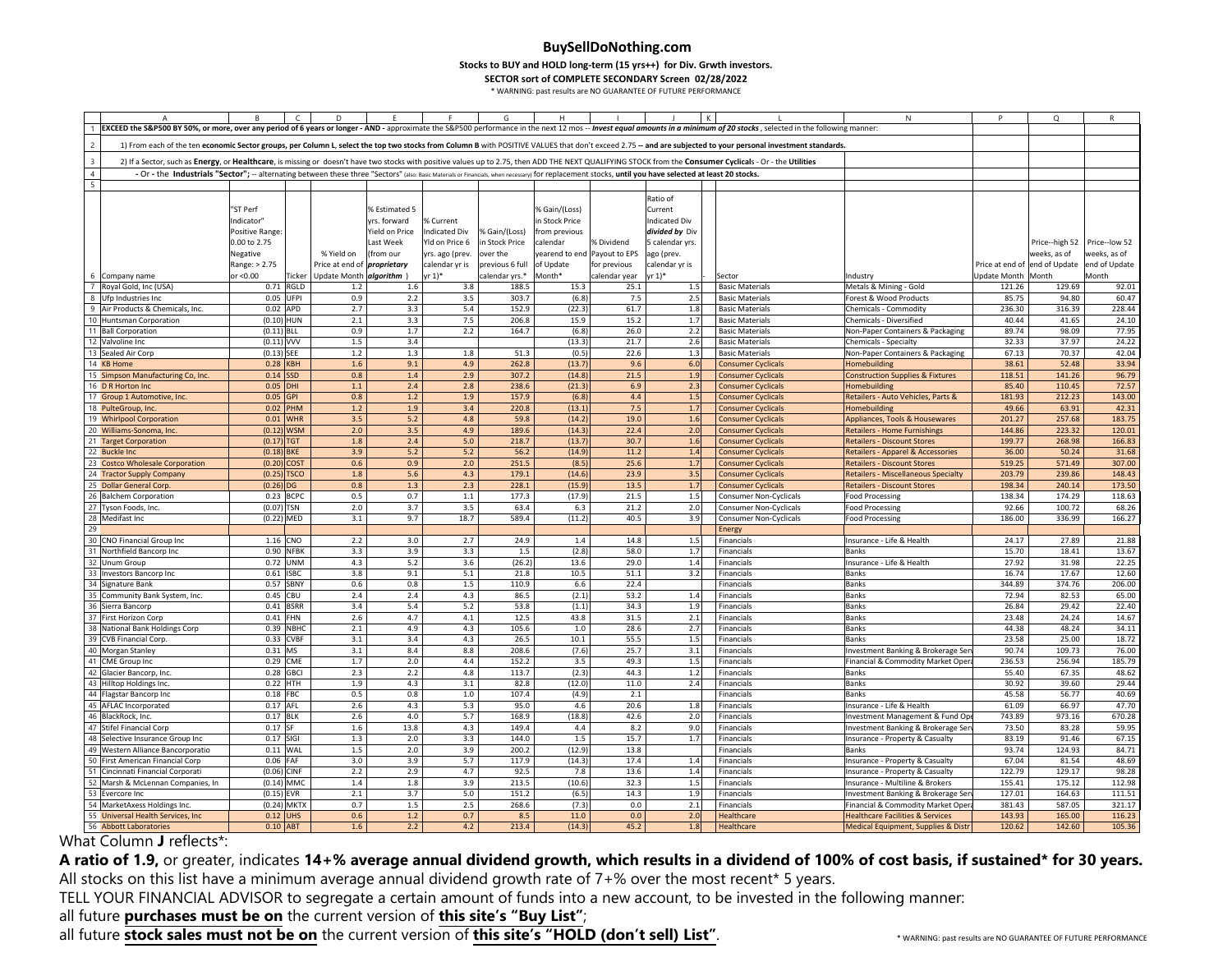**Stocks to BUY and HOLD long‐term (15 yrs++) for Div. Grwth investors.**

**SECTOR sort of COMPLETE SECONDARY Screen 02/28/2022**

\* WARNING: past results are NO GUARANTEE OF FUTURE PERFORMANCE

|                          |                                                                                                                                                                                                                            |                  |                           |                                    |                |                 |                 |                              |               |                      |  |                                                        | N                                                                         |                               | $\Omega$                     |                  |
|--------------------------|----------------------------------------------------------------------------------------------------------------------------------------------------------------------------------------------------------------------------|------------------|---------------------------|------------------------------------|----------------|-----------------|-----------------|------------------------------|---------------|----------------------|--|--------------------------------------------------------|---------------------------------------------------------------------------|-------------------------------|------------------------------|------------------|
|                          | EXCEED the S&P500 BY 50%, or more, over any period of 6 years or longer - AND - approximate the S&P500 performance in the next 12 mos -- Invest equal amounts in a minimum of 20 stocks, selected in the following manner: |                  |                           |                                    |                |                 |                 |                              |               |                      |  |                                                        |                                                                           |                               |                              |                  |
|                          |                                                                                                                                                                                                                            |                  |                           |                                    |                |                 |                 |                              |               |                      |  |                                                        |                                                                           |                               |                              |                  |
| $\overline{\phantom{a}}$ | 1) From each of the ten economic Sector groups, per Column L, select the top two stocks from Column B with POSITIVE VALUES that don't exceed 2.75 -- and are subjected to your personal investment standards.              |                  |                           |                                    |                |                 |                 |                              |               |                      |  |                                                        |                                                                           |                               |                              |                  |
| $\overline{3}$           | 2) If a Sector, such as Energy, or Healthcare, is missing or doesn't have two stocks with positive values up to 2.75, then ADD THE NEXT QUALIFYING STOCK from the Consumer Cyclicals - Or - the Utilities                  |                  |                           |                                    |                |                 |                 |                              |               |                      |  |                                                        |                                                                           |                               |                              |                  |
| $\overline{4}$           | - Or - the Industrials "Sector"; -- alternating between these three "Sectors" (also: Basic Materials or Financials, when necessary) for replacement stocks, until you have selected at least 20 stocks.                    |                  |                           |                                    |                |                 |                 |                              |               |                      |  |                                                        |                                                                           |                               |                              |                  |
| $\overline{\phantom{a}}$ |                                                                                                                                                                                                                            |                  |                           |                                    |                |                 |                 |                              |               |                      |  |                                                        |                                                                           |                               |                              |                  |
|                          |                                                                                                                                                                                                                            |                  |                           |                                    |                |                 |                 |                              |               |                      |  |                                                        |                                                                           |                               |                              |                  |
|                          |                                                                                                                                                                                                                            |                  |                           |                                    |                |                 |                 |                              |               | Ratio of             |  |                                                        |                                                                           |                               |                              |                  |
|                          |                                                                                                                                                                                                                            | "ST Perf         |                           |                                    | % Estimated 5  |                 |                 | % Gain/(Loss)                |               | Current              |  |                                                        |                                                                           |                               |                              |                  |
|                          |                                                                                                                                                                                                                            | Indicator'       |                           |                                    | yrs. forward   | % Current       |                 | n Stock Price                |               | <b>Indicated Div</b> |  |                                                        |                                                                           |                               |                              |                  |
|                          |                                                                                                                                                                                                                            | Positive Range   |                           |                                    | Yield on Price | Indicated Div   | % Gain/(Loss)   | from previous                |               | divided by Div       |  |                                                        |                                                                           |                               |                              |                  |
|                          |                                                                                                                                                                                                                            | 0.00 to 2.75     |                           |                                    | Last Week      | Yld on Price 6  | in Stock Price  | calendar                     | % Dividend    | 5 calendar yrs.      |  |                                                        |                                                                           |                               | Price--high 52 Price--low 52 |                  |
|                          |                                                                                                                                                                                                                            | Negative         |                           | % Yield on                         | (from our      | yrs. ago (prev. | over the        | yearend to end Payout to EPS |               | ago (prev.           |  |                                                        |                                                                           |                               | weeks, as of                 | weeks, as of     |
|                          |                                                                                                                                                                                                                            | Range: > 2.75    |                           | Price at end of <i>proprietary</i> |                | calendar yr is  | previous 6 full | of Update                    | for previous  | calendar yr is       |  |                                                        |                                                                           | Price at end of end of Update |                              | end of Update    |
|                          | 6 Company name                                                                                                                                                                                                             | or <0.00         | Ticker                    | Update Month algorithm             |                | vr 1)*          | calendar yrs.*  | Month*                       | calendar year | $yr(1)*$             |  | Sector                                                 | ndustry                                                                   | Update Month Month            |                              | Month            |
|                          | 7 Royal Gold, Inc (USA)                                                                                                                                                                                                    |                  | 0.71 RGLD                 | 1.2                                | 1.6            | 3.8             | 188.5           | 15.3                         | 25.1          | 1.5                  |  | <b>Basic Materials</b>                                 | Metals & Mining - Gold                                                    | 121.26                        | 129.69                       | 92.01            |
|                          | 8 Ufp Industries Inc                                                                                                                                                                                                       | 0.05             | UFPI                      | 0.9                                | 2.2            | 3.5             | 303.7           | (6.8)                        | 7.5           | 2.5                  |  | <b>Basic Materials</b>                                 | Forest & Wood Products                                                    | 85.75                         | 94.80                        | 60.47            |
| 9                        | Air Products & Chemicals, Inc.                                                                                                                                                                                             | 0.02 APD         |                           | 2.7                                | 3.3            | 5.4             | 152.9           | (22.3)                       | 61.7          | 1.8                  |  | <b>Basic Materials</b>                                 | Chemicals - Commodity                                                     | 236.30                        | 316.39                       | 228.44           |
|                          | 10 Huntsman Corporation                                                                                                                                                                                                    | $(0.10)$ HUN     |                           | 2.1                                | 3.3            | 7.5             | 206.8           | 15.9                         | 15.2          | 1.7                  |  | <b>Basic Materials</b>                                 | Chemicals - Diversified                                                   | 40.44                         | 41.65                        | 24.10            |
|                          | 11 Ball Corporation                                                                                                                                                                                                        | $(0.11)$ BLL     |                           | 0.9                                | 1.7            | 2.2             | 164.7           | (6.8)                        | 26.0          | 2.2                  |  | <b>Basic Materials</b>                                 | Non-Paper Containers & Packaging                                          | 89.74                         | 98.09                        | 77.95            |
|                          | 12 Valvoline Inc                                                                                                                                                                                                           | $(0.11)$ VVV     |                           | 1.5                                | 3.4            |                 |                 | (13.3)                       | 21.7          | 2.6                  |  | <b>Basic Materials</b>                                 | Chemicals - Specialty                                                     | 32.33                         | 37.97                        | 24.22            |
|                          | 13 Sealed Air Corp                                                                                                                                                                                                         | $(0.13)$ SEE     |                           | 1.2                                | 1.3            | 1.8             | 51.3            | (0.5)                        | 22.6          | 1.3                  |  | <b>Basic Materials</b>                                 | Non-Paper Containers & Packaging                                          | 67.13                         | 70.37                        | 42.04            |
|                          | 14 KB Home                                                                                                                                                                                                                 | 0.28             | <b>KBH</b>                | 1.6                                | 9.1            | 4.9             | 262.8           | (13.7)                       | 9.6           | 6.0                  |  | <b>Consumer Cyclicals</b>                              | Homebuilding                                                              | 38.61                         | 52.48                        | 33.94            |
|                          | 15 Simpson Manufacturing Co, Inc.                                                                                                                                                                                          | 0.14             | <b>SSD</b>                | 0.8                                | 1.4            | 2.9             | 307.2           | (14.8)                       | 21.5          | 1.9                  |  | <b>Consumer Cyclicals</b>                              | Construction Supplies & Fixtures                                          | 118.51                        | 141.26                       | 96.79            |
|                          | 16 D R Horton Inc                                                                                                                                                                                                          | 0.05             | <b>HI</b>                 | 1.1                                | 2.4            | 2.8             | 238.6           | (21.3)                       | 6.9           | 2.3                  |  | <b>Consumer Cyclicals</b>                              | <b>Iomebuilding</b>                                                       | 85.40                         | 110.45                       | 72.57            |
|                          | 17 Group 1 Automotive, Inc.                                                                                                                                                                                                | 0.05             | <b>GPI</b>                | 0.8                                | $1.2$          | 1.9             | 157.9           | (6.8)                        | $4.4\,$       | 1.5                  |  |                                                        | Retailers - Auto Vehicles, Parts &                                        | 181.93                        | 212.23                       | 143.00           |
|                          |                                                                                                                                                                                                                            |                  | PHM                       | 1.2                                |                | 3.4             | 220.8           | (13.1)                       | 7.5           |                      |  | <b>Consumer Cyclicals</b>                              |                                                                           | 49.66                         |                              | 42.31            |
|                          | 18 PulteGroup, Inc.<br>19 Whirlpool Corporation                                                                                                                                                                            | 0.02<br>0.01     | <b>WHR</b>                | 3.5                                | 1.9<br>5.2     | 4.8             | 59.8            | (14.2)                       | 19.0          | 1.7<br>1.6           |  | <b>Consumer Cyclicals</b><br><b>Consumer Cyclicals</b> | Homebuilding<br>Appliances, Tools & Housewares                            | 201.27                        | 63.91<br>257.68              | 183.75           |
|                          |                                                                                                                                                                                                                            |                  |                           | 2.0                                | 3.5            | 4.9             | 189.6           | (14.3)                       | 22.4          | 2.0                  |  |                                                        |                                                                           | 144.86                        | 223.32                       | 120.01           |
|                          | 20 Williams-Sonoma, Inc                                                                                                                                                                                                    | (0.12)<br>(0.17) | <b>VSM</b><br>GT          | 1.8                                | 2.4            | $5.0$           | 218.7           | (13.7)                       | 30.7          | 1.6                  |  | <b>Consumer Cyclicals</b>                              | Retailers - Home Furnishings                                              | 199.77                        | 268.98                       | 166.83           |
|                          | 21 Target Corporation<br>22 Buckle Inc                                                                                                                                                                                     | (0.18)           |                           | 3.9                                |                |                 |                 |                              |               | 1.4                  |  | <b>Consumer Cyclicals</b>                              | Retailers - Discount Stores                                               |                               | 50.24                        |                  |
|                          |                                                                                                                                                                                                                            |                  | <b>BKE</b>                |                                    | 5.2            | 5.2             | 56.2            | (14.9)                       | 11.2          |                      |  | <b>Consumer Cyclicals</b>                              | Retailers - Apparel & Accessories                                         | 36.00                         |                              | 31.68            |
|                          | 23 Costco Wholesale Corporation                                                                                                                                                                                            | (0.20)<br>(0.25) | <b>COST</b><br><b>SCO</b> | 0.6<br>1.8                         | 0.9<br>5.6     | 2.0<br>4.3      | 251.5<br>179.1  | (8.5)<br>(14.6)              | 25.6<br>23.9  | 1.7<br>3.5           |  | <b>Consumer Cyclicals</b><br><b>Consumer Cyclicals</b> | <b>Retailers - Discount Stores</b><br>Retailers - Miscellaneous Specialty | 519.25<br>203.79              | 571.49<br>239.86             | 307.00<br>148.43 |
|                          | 24 Tractor Supply Company                                                                                                                                                                                                  | (0.26)           |                           | 0.8                                | 1.3            | 2.3             | 228.1           |                              | 13.5          | 1.7                  |  |                                                        |                                                                           | 198.34                        | 240.14                       | 173.50           |
|                          | 25 Dollar General Corp.                                                                                                                                                                                                    | 0.23             | DG<br><b>BCPC</b>         | 0.5                                | 0.7            | 1.1             | 177.3           | (15.9)                       | 21.5          |                      |  | <b>Consumer Cyclicals</b>                              | <b>Retailers - Discount Stores</b>                                        | 138.34                        | 174.29                       |                  |
| 27                       | 26 Balchem Corporation                                                                                                                                                                                                     | (0.07)           |                           | $2.0$                              | 3.7            | 3.5             | 63.4            | (17.9)<br>6.3                | 21.2          | 1.5<br>$2.0$         |  | <b>Consumer Non-Cyclicals</b>                          | <b>Food Processing</b>                                                    | 92.66                         | 100.72                       | 118.63<br>68.26  |
|                          | Tyson Foods, Inc.<br>28 Medifast Inc                                                                                                                                                                                       |                  | 'SN<br>(0.22) MED         | 3.1                                | 9.7            | 18.7            | 589.4           |                              | 40.5          | 3.9                  |  | <b>Consumer Non-Cyclicals</b>                          | ood Processing                                                            | 186.00                        | 336.99                       | 166.27           |
| 29                       |                                                                                                                                                                                                                            |                  |                           |                                    |                |                 |                 | (11.2)                       |               |                      |  | Consumer Non-Cyclicals                                 | Food Processing                                                           |                               |                              |                  |
|                          | 30 CNO Financial Group Inc                                                                                                                                                                                                 | 1.16 CNO         |                           | 2.2                                | 3.0            | 2.7             | 24.9            | $1.4$                        | 14.8          | 1.5                  |  | Energy                                                 | Insurance - Life & Health                                                 | 24.17                         | 27.89                        |                  |
| 31                       |                                                                                                                                                                                                                            |                  |                           |                                    |                |                 |                 |                              |               |                      |  | Financials                                             |                                                                           |                               |                              | 21.88            |
|                          | Northfield Bancorp Inc                                                                                                                                                                                                     |                  | 0.90 NFBK                 | 3.3                                | 3.9            | 3.3             | 1.5             | (2.8)                        | 58.0<br>29.0  | 1.7                  |  | Financials                                             | Banks                                                                     | 15.70                         | 18.41                        | 13.67            |
|                          | 32 Unum Group                                                                                                                                                                                                              | 0.72             | UNM                       | 4.3                                | 5.2            | 3.6             | (26.2)          | 13.6                         |               | 1.4                  |  | Financials                                             | Insurance - Life & Health                                                 | 27.92                         | 31.98                        | 22.25            |
|                          | 33 Investors Bancorp Inc                                                                                                                                                                                                   | 0.61             | <b>ISBC</b>               | 3.8                                | 9.1            | 5.1             | 21.8            | 10.5                         | 51.1          | 3.2                  |  | Financials                                             | Banks                                                                     | 16.74                         | 17.67                        | 12.60            |
|                          | 34 Signature Bank                                                                                                                                                                                                          | 0.57             | SBNY                      | 0.6<br>2.4                         | 0.8<br>2.4     | 1.5<br>4.3      | 110.9           | 6.6                          | 22.4          | 1.4                  |  | Financials                                             | Banks<br><b>Banks</b>                                                     | 344.89                        | 374.76                       | 206.00           |
| 35                       | Community Bank System, Inc.                                                                                                                                                                                                | 0.45             | CBU                       |                                    |                |                 | 86.5            | (2.1)                        | 53.2          |                      |  | Financials                                             |                                                                           | 72.94                         | 82.53                        | 65.00            |
| 36                       | Sierra Bancorp                                                                                                                                                                                                             | 0.41             | <b>BSRR</b>               | 3.4                                | 5.4            | 5.2             | 53.8            | (1.1)                        | 34.3          | 1.9                  |  | Financials                                             | Banks                                                                     | 26.84                         | 29.42                        | 22.40            |
|                          | 37 First Horizon Corp                                                                                                                                                                                                      | 0.41             | FHN                       | 2.6                                | 4.7            | 4.1             | 12.5            | 43.8                         | 31.5          | 2.1                  |  | Financials                                             | Banks                                                                     | 23.48                         | 24.24                        | 14.67            |
|                          | 38 National Bank Holdings Corp                                                                                                                                                                                             |                  | 0.39 NBHC                 | 2.1                                | 4.9            | 4.3             | 105.6           | $1.0$                        | 28.6          | 2.7                  |  | Financials                                             | Banks                                                                     | 44.38                         | 48.24                        | 34.11            |
| 39                       | CVB Financial Corp.                                                                                                                                                                                                        | 0.33             | <b>CVBF</b>               | 3.1                                | 3.4            | 4.3             | 26.5            | 10.1                         | 55.5          | 1.5                  |  | Financials                                             | <b>Banks</b>                                                              | 23.58                         | 25.00                        | 18.72            |
|                          | 40 Morgan Stanley                                                                                                                                                                                                          | $0.31$ MS        |                           | 3.1                                | 8.4            | 8.8             | 208.6           | (7.6)                        | 25.7          | 3.1                  |  | Financials                                             | Investment Banking & Brokerage Ser                                        | 90.74                         | 109.73                       | 76.00            |
|                          | 41 CME Group Inc                                                                                                                                                                                                           | 0.29             | CME                       | 1.7                                | 2.0            | 4.4             | 152.2           | 3.5                          | 49.3          | 1.5                  |  | Financials                                             | Financial & Commodity Market Oper                                         | 236.53                        | 256.94                       | 185.79           |
| 42                       | Glacier Bancorp, Inc.                                                                                                                                                                                                      | 0.28             | <b>GBCI</b>               | 2.3                                | 2.2            | 4.8             | 113.7           | (2.3)                        | 44.3          | 1.2                  |  | Financials                                             | Banks                                                                     | 55.40                         | 67.35                        | 48.62            |
|                          | 43 Hilltop Holdings Inc.                                                                                                                                                                                                   | 0.22             | HTH                       | 1.9                                | 4.3            | 3.1             | 82.8            | (12.0)                       | 11.0          | 2.4                  |  | Financials                                             | Banks                                                                     | 30.92                         | 39.60                        | 29.44            |
|                          | 44 Flagstar Bancorp Inc                                                                                                                                                                                                    | 0.18             | FBC                       | 0.5                                | 0.8            | $1.0$           | 107.4           | (4.9)                        | 2.1           |                      |  | Financials                                             | Banks                                                                     | 45.58                         | 56.77                        | 40.69            |
|                          | 45 AFLAC Incorporated                                                                                                                                                                                                      | 0.17 AFL         |                           | 2.6                                | 4.3            | 5.3             | 95.0            | 4.6                          | 20.6          | 1.8                  |  | Financials                                             | Insurance - Life & Health                                                 | 61.09                         | 66.97                        | 47.70            |
|                          | 46 BlackRock, Inc.                                                                                                                                                                                                         | 0.17 BLK         |                           | 2.6                                | 4.0            | 5.7             | 168.9           | (18.8)                       | 42.6          | 2.0                  |  | Financials                                             | Investment Management & Fund Op                                           | 743.89                        | 973.16                       | 670.28           |
|                          | 47 Stifel Financial Corp                                                                                                                                                                                                   | 0.17             | <b>SF</b>                 | $1.6\,$                            | 13.8           | 4.3             | 149.4           | 4.4                          | 8.2           | 9.0                  |  | Financials                                             | Investment Banking & Brokerage Sen                                        | 73.50                         | 83.28                        | 59.95            |
|                          | 48 Selective Insurance Group Inc                                                                                                                                                                                           | 0.17 SIGI        |                           | 1.3                                | 2.0            | 3.3             | 144.0           | 1.5                          | 15.7          | 1.7                  |  | Financials                                             | Insurance - Property & Casualty                                           | 83.19                         | 91.46                        | 67.15            |
|                          | 49 Western Alliance Bancorporatio                                                                                                                                                                                          | 0.11             | WAL                       | 1.5                                | 2.0            | 3.9             | 200.2           | (12.9)                       | 13.8          |                      |  | Financials                                             | Banks                                                                     | 93.74                         | 124.93                       | 84.71            |
|                          | 50 First American Financial Corp                                                                                                                                                                                           | 0.06             | FAF                       | 3.0                                | 3.9            | 5.7             | 117.9           | (14.3)                       | 17.4          | 1.4                  |  | Financials                                             | Insurance - Property & Casualty                                           | 67.04                         | 81.54                        | 48.69            |
|                          | 51 Cincinnati Financial Corporati                                                                                                                                                                                          | (0.06)           | INF                       | 2.2                                | 2.9            | 4.7             | 92.5            | 7.8                          | 13.6          | 1.4                  |  | Financials                                             | Insurance - Property & Casualty                                           | 122.79                        | 129.17                       | 98.28            |
|                          | 52 Marsh & McLennan Companies, In                                                                                                                                                                                          |                  | $(0.14)$ MMC              | 1.4                                | 1.8            | 3.9             | 213.5           | (10.6)                       | 32.3          | 1.5                  |  | Financials                                             | Insurance - Multiline & Brokers                                           | 155.41                        | 175.12                       | 112.98           |
| 53                       | Evercore Inc                                                                                                                                                                                                               | $(0.15)$ EVR     |                           | 2.1                                | 3.7            | 5.0             | 151.2           | (6.5)                        | 14.3          | 1.9                  |  | Financials                                             | Investment Banking & Brokerage Ser                                        | 127.01                        | 164.63                       | 111.51           |
|                          | 54 MarketAxess Holdings Inc.                                                                                                                                                                                               |                  | $(0.24)$ MKTX             | 0.7                                | 1.5            | 2.5             | 268.6           | (7.3)                        | 0.0           | 2.1                  |  | Financials                                             | Financial & Commodity Market Opera                                        | 381.43                        | 587.05                       | 321.17           |
|                          | 55 Universal Health Services, Inc.                                                                                                                                                                                         | 0.12             | <b>JHS</b>                | 0.6                                | 1.2            | 0.7             | 8.5             | 11.0                         | 0.0           | 2.0                  |  | Healthcare                                             | Healthcare Facilities & Services                                          | 143.93                        | 165.00                       | 116.23           |
|                          | 56 Abbott Laboratories                                                                                                                                                                                                     | 0.10             | ABT                       | 1.6                                | 2.2            | 4.2             | 213.4           | (14.3)                       | 45.2          | 1.8                  |  | Healthcare                                             | Medical Equipment, Supplies & Distr                                       | 120.62                        | 142.60                       | 105.36           |

What Column **<sup>J</sup>** reflects\*:

A ratio of 1.9, or greater, indicates 14+% average annual dividend growth, which results in a dividend of 100% of cost basis, if sustained\* for 30 years.<br>All stocks on this list have a minimum average annual dividend growt All stocks on this list have a minimum average annual dividend growth rate of 7+% over the most recent\* 5 years.<br>TELL YOUR FINANCIAL ADVISOR to correcte a certain amount of funds into a now account, to be invested in the

TELL YOUR FINANCIAL ADVISOR to segregate <sup>a</sup> certain amount of funds into <sup>a</sup> new account, to be invested in the following manner:

all future **purchases must be on** the current version of **this site's "Buy List"**;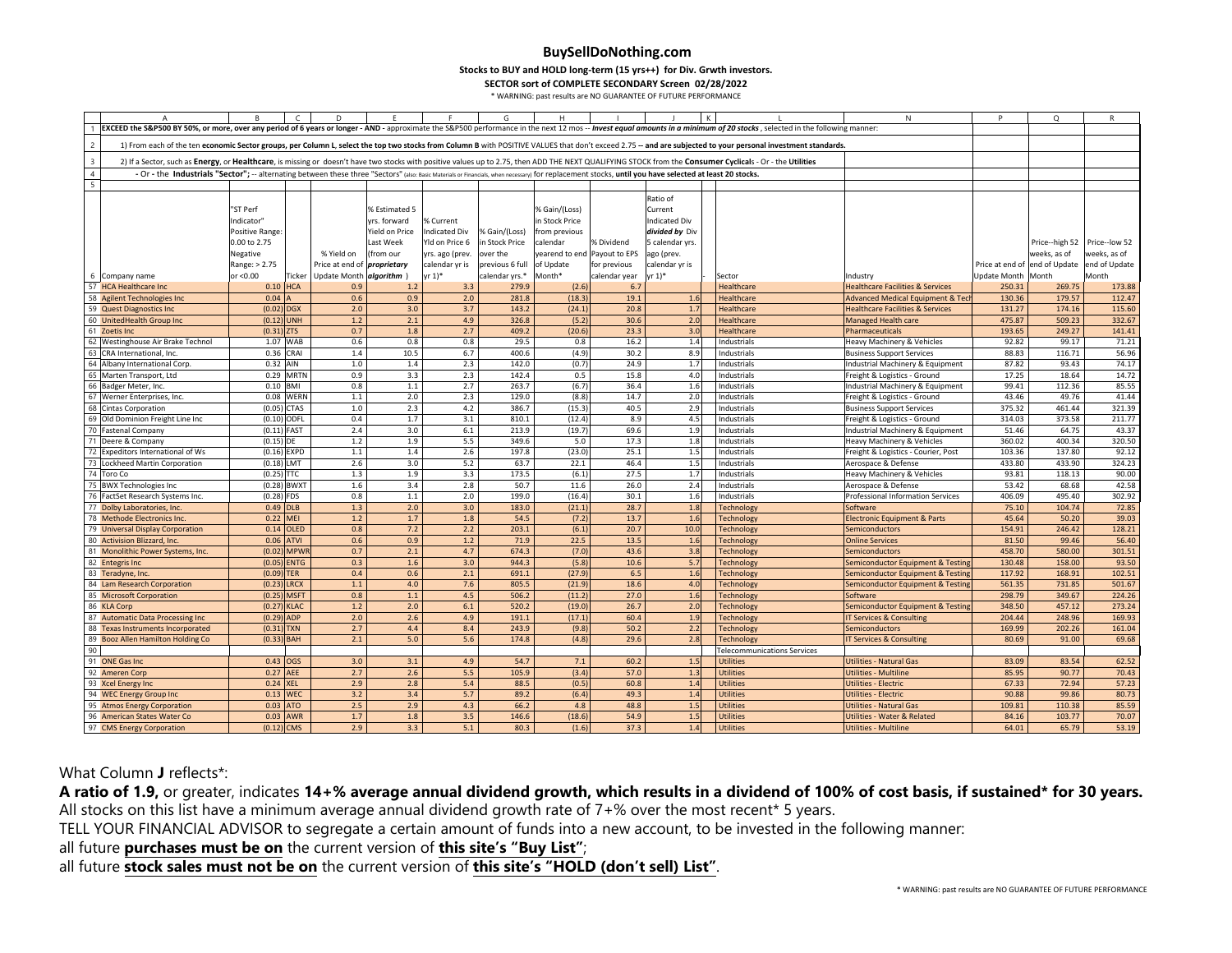**Stocks to BUY and HOLD long‐term (15 yrs++) for Div. Grwth investors.**

**SECTOR sort of COMPLETE SECONDARY Screen 02/28/2022**

\* WARNING: past results are NO GUARANTEE OF FUTURE PERFORMANCE

|                          |                                                                                                                                                                                                                            | R               | $\mathsf{C}$  | D                                  |                |                      | G               | Н                            |               |                      |                                                                                                                                                                                                               | $\mathsf{N}$                                | P                  | Q                             | R                            |
|--------------------------|----------------------------------------------------------------------------------------------------------------------------------------------------------------------------------------------------------------------------|-----------------|---------------|------------------------------------|----------------|----------------------|-----------------|------------------------------|---------------|----------------------|---------------------------------------------------------------------------------------------------------------------------------------------------------------------------------------------------------------|---------------------------------------------|--------------------|-------------------------------|------------------------------|
|                          | EXCEED the S&P500 BY 50%, or more, over any period of 6 years or longer - AND - approximate the S&P500 performance in the next 12 mos -- Invest equal amounts in a minimum of 20 stocks, selected in the following manner: |                 |               |                                    |                |                      |                 |                              |               |                      |                                                                                                                                                                                                               |                                             |                    |                               |                              |
| $\overline{2}$           |                                                                                                                                                                                                                            |                 |               |                                    |                |                      |                 |                              |               |                      | 1) From each of the ten economic Sector groups, per Column L, select the top two stocks from Column B with POSITIVE VALUES that don't exceed 2.75 -- and are subjected to your personal investment standards. |                                             |                    |                               |                              |
| $\overline{3}$           |                                                                                                                                                                                                                            |                 |               |                                    |                |                      |                 |                              |               |                      | 2) If a Sector, such as Energy, or Healthcare, is missing or doesn't have two stocks with positive values up to 2.75, then ADD THE NEXT QUALIFYING STOCK from the Consumer Cyclicals - Or - the Utilities     |                                             |                    |                               |                              |
| $\overline{4}$           | - Or - the Industrials "Sector"; -- alternating between these three "Sectors" (also: Basic Materials or Financials, when necessary) for replacement stocks, until you have selected at least 20 stocks.                    |                 |               |                                    |                |                      |                 |                              |               |                      |                                                                                                                                                                                                               |                                             |                    |                               |                              |
| $\overline{\phantom{a}}$ |                                                                                                                                                                                                                            |                 |               |                                    |                |                      |                 |                              |               |                      |                                                                                                                                                                                                               |                                             |                    |                               |                              |
|                          |                                                                                                                                                                                                                            |                 |               |                                    |                |                      |                 |                              |               | Ratio of             |                                                                                                                                                                                                               |                                             |                    |                               |                              |
|                          |                                                                                                                                                                                                                            | "ST Perf        |               |                                    | % Estimated 5  |                      |                 | % Gain/(Loss)                |               | Current              |                                                                                                                                                                                                               |                                             |                    |                               |                              |
|                          |                                                                                                                                                                                                                            | Indicator'      |               |                                    |                |                      |                 | in Stock Price               |               | <b>Indicated Div</b> |                                                                                                                                                                                                               |                                             |                    |                               |                              |
|                          |                                                                                                                                                                                                                            |                 |               |                                    | yrs. forward   | % Current            |                 |                              |               |                      |                                                                                                                                                                                                               |                                             |                    |                               |                              |
|                          |                                                                                                                                                                                                                            | Positive Range: |               |                                    | Yield on Price | <b>Indicated Div</b> | % Gain/(Loss)   | from previous                |               | divided by Div       |                                                                                                                                                                                                               |                                             |                    |                               |                              |
|                          |                                                                                                                                                                                                                            | 0.00 to 2.75    |               |                                    | Last Week      | Yld on Price 6       | in Stock Price  | calendar                     | % Dividend    | 5 calendar yrs.      |                                                                                                                                                                                                               |                                             |                    |                               | Price--high 52 Price--low 52 |
|                          |                                                                                                                                                                                                                            | Negative        |               | % Yield on                         | (from our      | yrs. ago (prev.      | over the        | yearend to end Payout to EPS |               | ago (prev.           |                                                                                                                                                                                                               |                                             |                    | weeks, as of                  | weeks, as of                 |
|                          |                                                                                                                                                                                                                            | Range: > 2.75   |               | Price at end of <i>proprietary</i> |                | calendar yr is       | previous 6 full | of Update                    | for previous  | calendar yr is       |                                                                                                                                                                                                               |                                             |                    | Price at end of end of Update | end of Update                |
|                          | 6 Company name                                                                                                                                                                                                             | or <0.00        | Ticker        | Update Month algorithm )           |                | $yr 1)*$             | calendar yrs.*  | Month*                       | calendar year | yr 1)*               | Sector                                                                                                                                                                                                        | Industry                                    | Update Month Month |                               | Month                        |
|                          | 57 HCA Healthcare Inc                                                                                                                                                                                                      | 0.10            | <b>HCA</b>    | 0.9                                | 1.2            | 3.3                  | 279.9           | (2.6)                        | 6.7           |                      | Healthcare                                                                                                                                                                                                    | <b>Healthcare Facilities &amp; Services</b> | 250.31             | 269.75                        | 173.88                       |
|                          | 58 Agilent Technologies Inc                                                                                                                                                                                                | 0.04            |               | 0.6                                | 0.9            | 2.0                  | 281.8           | (18.3)                       | 19.1          | 1.6                  | Healthcare                                                                                                                                                                                                    | <b>Advanced Medical Equipment &amp; Tec</b> | 130.36             | 179.57                        | 112.47                       |
|                          | 59 Quest Diagnostics Inc                                                                                                                                                                                                   | (0.02)          | <b>DGX</b>    | 2.0                                | 3.0            | 3.7                  | 143.2           | (24.1)                       | 20.8          | 1.7                  | Healthcare                                                                                                                                                                                                    | <b>Healthcare Facilities &amp; Services</b> | 131.27             | 174.16                        | 115.60                       |
|                          | 60 UnitedHealth Group Inc                                                                                                                                                                                                  | (0.12)          | <b>INH</b>    | 1.2                                | 2.1            | 4.9                  | 326.8           | (5.2)                        | 30.6          | 2.0                  | Healthcare                                                                                                                                                                                                    | Managed Health care                         | 475.87             | 509.23                        | 332.67                       |
|                          | 61 Zoetis Inc                                                                                                                                                                                                              | (0.31)          | <b>ZTS</b>    | 0.7                                | 1.8            | 2.7                  | 409.2           | (20.6)                       | 23.3          | 3.0                  | Healthcare                                                                                                                                                                                                    | Pharmaceuticals                             | 193.65             | 249.27                        | 141.41                       |
|                          | 62 Westinghouse Air Brake Technol                                                                                                                                                                                          |                 | 1.07 WAB      | 0.6                                | 0.8            | 0.8                  | 29.5            | 0.8                          | 16.2          | 1.4                  | Industrials                                                                                                                                                                                                   | Heavy Machinery & Vehicles                  | 92.82              | 99.17                         | 71.21                        |
| 63                       | CRA International, Inc.                                                                                                                                                                                                    |                 | 0.36 CRAI     | 1.4                                | 10.5           | 6.7                  | 400.6           | (4.9)                        | 30.2          | 8.9                  | Industrials                                                                                                                                                                                                   | <b>Business Support Services</b>            | 88.83              | 116.71                        | 56.96                        |
| 64                       | Albany International Corp.                                                                                                                                                                                                 | 0.32 AIN        |               | 1.0                                | 1.4            | 2.3                  | 142.0           | (0.7)                        | 24.9          | 1.7                  | Industrials                                                                                                                                                                                                   | Industrial Machinery & Equipment            | 87.82              | 93.43                         | 74.17                        |
|                          | 65 Marten Transport, Ltd                                                                                                                                                                                                   |                 | 0.29 MRTN     | 0.9                                | 3.3            | 2.3                  | 142.4           | 0.5                          | 15.8          | 4.0                  | Industrials                                                                                                                                                                                                   | Freight & Logistics - Ground                | 17.25              | 18.64                         | 14.72                        |
|                          | 66 Badger Meter, Inc.                                                                                                                                                                                                      | 0.10 BMI        |               | 0.8                                | 1.1            | 2.7                  | 263.7           | (6.7)                        | 36.4          | 1.6                  | Industrials                                                                                                                                                                                                   | Industrial Machinery & Equipment            | 99.41              | 112.36                        | 85.55                        |
|                          | 67 Werner Enterprises, Inc.                                                                                                                                                                                                |                 | 0.08 WERN     | 1.1                                | 2.0            | 2.3                  | 129.0           | (8.8)                        | 14.7          | 2.0                  | Industrials                                                                                                                                                                                                   | Freight & Logistics - Ground                | 43.46              | 49.76                         | 41.44                        |
| 68                       | <b>Cintas Corporation</b>                                                                                                                                                                                                  |                 | (0.05) CTAS   | 1.0                                | 2.3            | 4.2                  | 386.7           | (15.3)                       | 40.5          | 2.9                  | Industrials                                                                                                                                                                                                   | <b>Business Support Services</b>            | 375.32             | 461.44                        | 321.39                       |
| 69                       | Old Dominion Freight Line Inc                                                                                                                                                                                              |                 | (0.10) ODFL   | 0.4                                | 1.7            | 3.1                  | 810.1           | (12.4)                       | 8.9           | 4.5                  | Industrials                                                                                                                                                                                                   | Freight & Logistics - Ground                | 314.03             | 373.58                        | 211.77                       |
|                          | 70 Fastenal Company                                                                                                                                                                                                        |                 | $(0.11)$ FAST | 2.4                                | 3.0            | 6.1                  | 213.9           | (19.7)                       | 69.6          | 1.9                  | Industrials                                                                                                                                                                                                   | Industrial Machinery & Equipment            | 51.46              | 64.75                         | 43.37                        |
| 71                       | Deere & Company                                                                                                                                                                                                            | $(0.15)$ DE     |               | 1.2                                | 1.9            | 5.5                  | 349.6           | 5.0                          | 17.3          | 1.8                  | Industrials                                                                                                                                                                                                   | Heavy Machinery & Vehicles                  | 360.02             | 400.34                        | 320.50                       |
| 72                       | <b>Expeditors International of Ws</b>                                                                                                                                                                                      |                 | $(0.16)$ EXPD | 1.1                                | 1.4            | 2.6                  | 197.8           | (23.0)                       | 25.1          | 1.5                  | Industrials                                                                                                                                                                                                   | Freight & Logistics - Courier, Post         | 103.36             | 137.80                        | 92.12                        |
|                          | 73 Lockheed Martin Corporation                                                                                                                                                                                             | $(0.18)$ LMT    |               | 2.6                                | 3.0            | 5.2                  | 63.7            | 22.1                         | 46.4          | 1.5                  | Industrials                                                                                                                                                                                                   | Aerospace & Defense                         | 433.80             | 433.90                        | 324.23                       |
|                          | 74 Toro Co                                                                                                                                                                                                                 | $(0.25)$ TTC    |               | 1.3                                | 1.9            | 3.3                  | 173.5           | (6.1)                        | 27.5          | 1.7                  | Industrials                                                                                                                                                                                                   | Heavy Machinery & Vehicles                  | 93.81              | 118.13                        | 90.00                        |
|                          | 75 BWX Technologies Inc                                                                                                                                                                                                    |                 | (0.28) BWXT   | 1.6                                | 3.4            | 2.8                  | 50.7            | 11.6                         | 26.0          | 2.4                  | Industrials                                                                                                                                                                                                   | Aerospace & Defense                         | 53.42              | 68.68                         | 42.58                        |
|                          | 76 FactSet Research Systems Inc.                                                                                                                                                                                           | $(0.28)$ FDS    |               | 0.8                                | 1.1            | 2.0                  | 199.0           | (16.4)                       | 30.1          | 1.6                  | Industrials                                                                                                                                                                                                   | Professional Information Services           | 406.09             | 495.40                        | 302.92                       |
|                          | 77 Dolby Laboratories, Inc.                                                                                                                                                                                                | 0.49            | DLB           | 1.3                                | 2.0            | 3.0                  | 183.0           | (21.1)                       | 28.7          | 1.8                  | <b>Technology</b>                                                                                                                                                                                             | Software                                    | 75.10              | 104.74                        | 72.85                        |
|                          | 78 Methode Electronics Inc.                                                                                                                                                                                                | 0.22            | <b>MEI</b>    | 1.2                                | 1.7            | 1.8                  | 54.5            | (7.2)                        | 13.7          | 1.6                  | Technology                                                                                                                                                                                                    | Electronic Equipment & Parts                | 45.64              | 50.20                         | 39.03                        |
|                          | 79 Universal Display Corporation                                                                                                                                                                                           | 0.14            | OLED          | 0.8                                | 7.2            | 2.2                  | 203.1           | (6.1)                        | 20.7          | 10.0                 | Technology                                                                                                                                                                                                    | Semiconductors                              | 154.91             | 246.42                        | 128.21                       |
|                          | 80 Activision Blizzard, Inc.                                                                                                                                                                                               | 0.06            | <b>ATVI</b>   | 0.6                                | 0.9            | 1.2                  | 71.9            | 22.5                         | 13.5          | 1.6                  | <b>Technology</b>                                                                                                                                                                                             | <b>Online Services</b>                      | 81.50              | 99.46                         | 56.40                        |
|                          | 81 Monolithic Power Systems, Inc.                                                                                                                                                                                          | (0.02)          | MPW           | 0.7                                | 2.1            | 4.7                  | 674.3           | (7.0)                        | 43.6          | 3.8                  | Technology                                                                                                                                                                                                    | Semiconductors                              | 458.70             | 580.00                        | 301.51                       |
|                          | 82 Entegris Inc                                                                                                                                                                                                            | (0.05)          | <b>ENTG</b>   | 0.3                                | 1.6            | 3.0                  | 944.3           | (5.8)                        | 10.6          | 5.7                  | Technology                                                                                                                                                                                                    | Semiconductor Equipment & Testing           | 130.48             | 158.00                        | 93.50                        |
|                          | 83 Teradyne, Inc.                                                                                                                                                                                                          | (0.09)          | <b>TER</b>    | 0.4                                | 0.6            | 2.1                  | 691.1           | (27.9)                       | 6.5           | 1.6                  | <b>Technology</b>                                                                                                                                                                                             | Semiconductor Equipment & Testing           | 117.92             | 168.91                        | 102.51                       |
|                          | 84 Lam Research Corporation                                                                                                                                                                                                | (0.23)          | <b>RCX</b>    | 1.1                                | 4.0            | 7.6                  | 805.5           | (21.9)                       | 18.6          | 4.0                  | Technology                                                                                                                                                                                                    | Semiconductor Equipment & Testing           | 561.35             | 731.85                        | 501.67                       |
|                          | 85 Microsoft Corporation                                                                                                                                                                                                   | (0.25)          | <b>MSFT</b>   | 0.8                                | 1.1            | 4.5                  | 506.2           | (11.2)                       | 27.0          | 1.6                  | Technology                                                                                                                                                                                                    | Software                                    | 298.79             | 349.67                        | 224.26                       |
|                          | 86 KLA Corp                                                                                                                                                                                                                | (0.27)          | <b>KLAC</b>   | 1.2                                | 2.0            | 6.1                  | 520.2           | (19.0)                       | 26.7          | 2.0                  | Technology                                                                                                                                                                                                    | Semiconductor Equipment & Testing           | 348.50             | 457.12                        | 273.24                       |
|                          | 87 Automatic Data Processing Inc                                                                                                                                                                                           | (0.29)          | <b>ADP</b>    | 2.0                                | 2.6            | 4.9                  | 191.1           | (17.1)                       | 60.4          | 1.9                  | Technology                                                                                                                                                                                                    | <b>T Services &amp; Consulting</b>          | 204.44             | 248.96                        | 169.93                       |
|                          | 88 Texas Instruments Incorporated                                                                                                                                                                                          | (0.31)          | <b>TXN</b>    | 2.7                                | 4.4            | 8.4                  | 243.9           | (9.8)                        | 50.2          | 2.2                  | Technology                                                                                                                                                                                                    | <b>Semiconductors</b>                       | 169.99             | 202.26                        | 161.04                       |
|                          | 89 Booz Allen Hamilton Holding Co                                                                                                                                                                                          | (0.33)          | <b>BAH</b>    | 2.1                                | 5.0            | 5.6                  | 174.8           | (4.8)                        | 29.6          | 2.8                  | Technology                                                                                                                                                                                                    | <b>T Services &amp; Consulting</b>          | 80.69              | 91.00                         | 69.68                        |
| 90                       |                                                                                                                                                                                                                            |                 |               |                                    |                |                      |                 |                              |               |                      | <b>Telecommunications Services</b>                                                                                                                                                                            |                                             |                    |                               |                              |
|                          | 91 ONE Gas Inc                                                                                                                                                                                                             | 0.43            | <b>OGS</b>    | 3.0                                | 3.1            | 4.9                  | 54.7            | 7.1                          | 60.2          | 1.5                  | <b>Utilities</b>                                                                                                                                                                                              | Utilities - Natural Gas                     | 83.09              | 83.54                         | 62.52                        |
|                          | 92 Ameren Corp                                                                                                                                                                                                             | 0.27            | <b>AEE</b>    | 2.7                                | 2.6            | 5.5                  | 105.9           | (3.4)                        | 57.0          | 1.3                  | Utilities                                                                                                                                                                                                     | Utilities - Multiline                       | 85.95              | 90.77                         | 70.43                        |
|                          | 93 Xcel Energy Inc                                                                                                                                                                                                         | 0.24            | <b>XEL</b>    | 2.9                                | 2.8            | 5.4                  | 88.5            | (0.5)                        | 60.8          | 1.4                  | <b>Utilities</b>                                                                                                                                                                                              | <b>Utilities - Electric</b>                 | 67.33              | 72.94                         | 57.23                        |
|                          | 94 WEC Energy Group Inc                                                                                                                                                                                                    | 0.13            | <b>WEC</b>    | 3.2                                | 3.4            | 5.7                  | 89.2            | (6.4)                        | 49.3          | 1.4                  | <b>Utilities</b>                                                                                                                                                                                              | Utilities - Electric                        | 90.88              | 99.86                         | 80.73                        |
|                          | 95 Atmos Energy Corporation                                                                                                                                                                                                | 0.03            | <b>TO</b>     | 2.5                                | 2.9            | 4.3                  | 66.2            | 4.8                          | 48.8          | 1.5                  | <b>Utilities</b>                                                                                                                                                                                              | Utilities - Natural Gas                     | 109.81             | 110.38                        | 85.59                        |
|                          | 96 American States Water Co                                                                                                                                                                                                | 0.03            | <b>AWR</b>    | 1.7                                | 1.8            | 3.5                  | 146.6           | (18.6)                       | 54.9          | 1.5                  | Utilities                                                                                                                                                                                                     | Utilities - Water & Related                 | 84.16              | 103.77                        | 70.07                        |
|                          |                                                                                                                                                                                                                            | (0.12)          | CMS           | 2.9                                | 3.3            | 5.1                  | 80.3            | (1.6)                        | 37.3          | 1.4                  | Utilities                                                                                                                                                                                                     | <b>Utilities - Multiline</b>                | 64.01              | 65.79                         | 53.19                        |
|                          | 97 CMS Energy Corporation                                                                                                                                                                                                  |                 |               |                                    |                |                      |                 |                              |               |                      |                                                                                                                                                                                                               |                                             |                    |                               |                              |

What Column **<sup>J</sup>** reflects\*:

A ratio of 1.9, or greater, indicates 14+% average annual dividend growth, which results in a dividend of 100% of cost basis, if sustained\* for 30 years.<br>All stocks on this list have a minimum average annual dividend growt All stocks on this list have a minimum average annual dividend growth rate of 7+% over the most recent\* 5 years.<br>TELL YOUR FINANCIAL ADVISOR to correcte a certain amount of funds into a now account, to be invested in the

TELL YOUR FINANCIAL ADVISOR to segregate a certain amount of funds into a new account, to be invested in the following manner:<br>- If fature would access work he are the current version of this site of "Danslist".

all future **purchases must be on** the current version of **this site's "Buy List"**;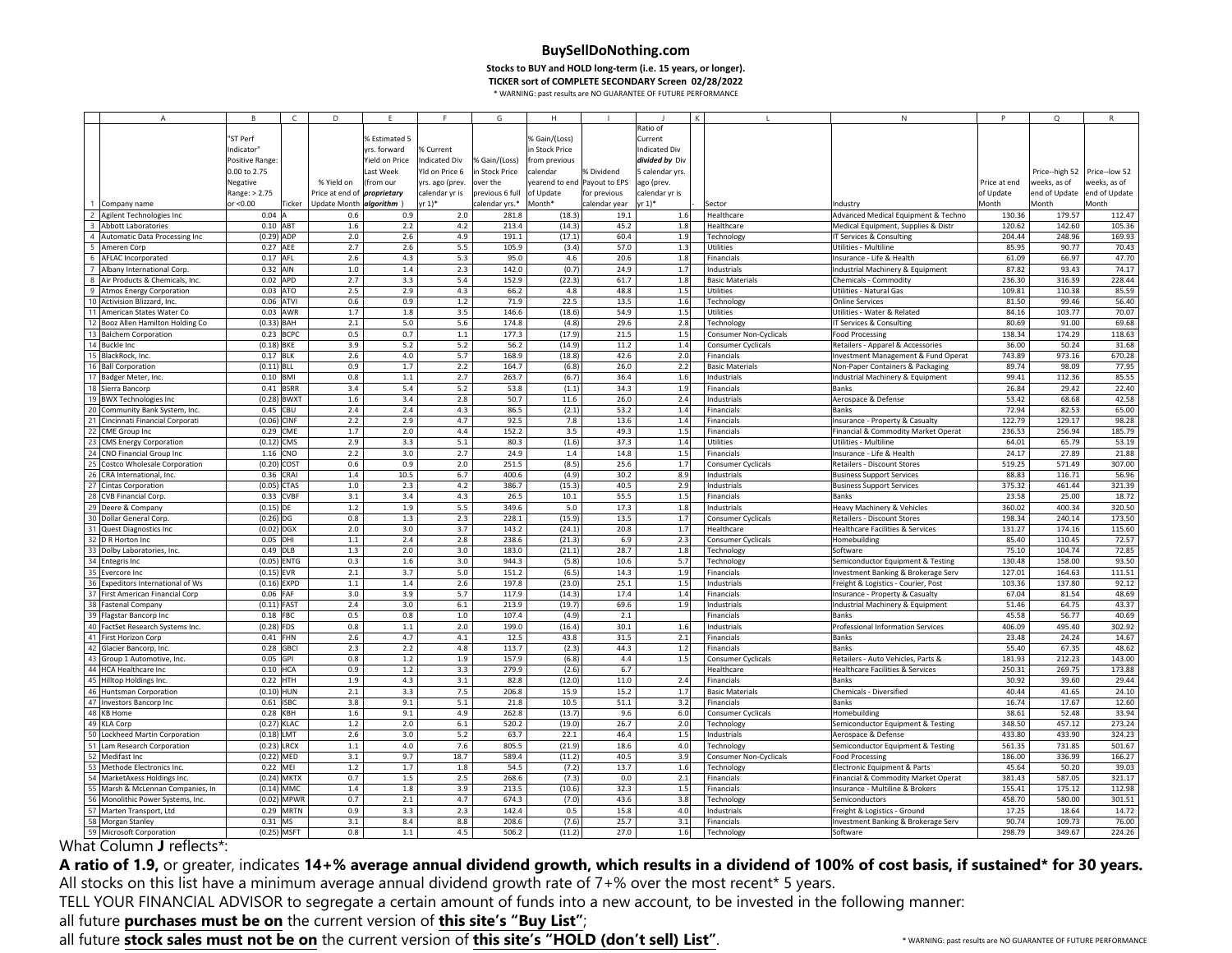**Stocks to BUY and HOLD long‐term (i.e. <sup>15</sup> years, or longer).**

**TICKER sort of COMPLETE SECONDARY Screen 02/28/2022**

\* WARNING: past results are NO GUARANTEE OF FUTURE PERFORMANCE

|    | $\overline{A}$                    | B.             | $\mathsf{C}$ | D                                  | F              |                      | G               | H                            |               |                      |                           | N                                           | P            | $\Omega$      | $\mathsf{R}$                 |
|----|-----------------------------------|----------------|--------------|------------------------------------|----------------|----------------------|-----------------|------------------------------|---------------|----------------------|---------------------------|---------------------------------------------|--------------|---------------|------------------------------|
|    |                                   |                |              |                                    |                |                      |                 |                              |               | Ratio of             |                           |                                             |              |               |                              |
|    |                                   | "ST Perf       |              |                                    | % Estimated 5  |                      |                 | % Gain/(Loss)                |               | Current              |                           |                                             |              |               |                              |
|    |                                   | Indicator"     |              |                                    | vrs. forward   | % Current            |                 | in Stock Price               |               | <b>Indicated Div</b> |                           |                                             |              |               |                              |
|    |                                   |                |              |                                    |                |                      |                 |                              |               |                      |                           |                                             |              |               |                              |
|    |                                   | Positive Range |              |                                    | Yield on Price | <b>Indicated Div</b> | % Gain/(Loss)   | from previous                |               | divided by Div       |                           |                                             |              |               |                              |
|    |                                   | 0.00 to 2.75   |              |                                    | Last Week      | Yld on Price 6       | in Stock Price  | calendar                     | % Dividend    | 5 calendar yrs       |                           |                                             |              |               | Price--high 52 Price--low 52 |
|    |                                   | Negative       |              | % Yield on                         | (from our      | yrs. ago (prev.      | over the        | yearend to end Payout to EPS |               | ago (prev.           |                           |                                             | Price at end | weeks, as of  | weeks, as of                 |
|    |                                   | Range: > 2.75  |              | Price at end of <i>proprietary</i> |                | calendar yr is       | previous 6 full | of Update                    | for previous  | calendar yr is       |                           |                                             | of Update    | end of Update | end of Update                |
|    | 1 Company name                    | or <0.00       | Ticker       | Update Month algorithm )           |                | yr 1)*               | calendar yrs.*  | Month*                       | calendar year | r 1)*                | Sector                    | Industry                                    | Month        | Month         | Month                        |
|    | 2 Agilent Technologies Inc        | $0.04$ A       |              | 0.6                                | 0.9            | 2.0                  | 281.8           | (18.3)                       | 19.1          | 1.6                  | Healthcare                | Advanced Medical Equipment & Techno         | 130.36       | 179.57        | 112.47                       |
|    | 3 Abbott Laboratories             | $0.10$ ABT     |              | 1.6                                | 2.2            | 4.2                  | 213.4           | (14.3)                       | 45.2          | 1.8                  | Healthcare                | Medical Equipment, Supplies & Distr         | 120.62       | 142.60        | 105.36                       |
|    | 4 Automatic Data Processing Inc   | $(0.29)$ ADP   |              | 2.0                                | 2.6            | 4.9                  | 191.1           | (17.1)                       | 60.4          | 1.9                  | Technology                | IT Services & Consulting                    | 204.44       | 248.96        | 169.93                       |
|    | 5 Ameren Corp                     | 0.27 AEE       |              | 2.7                                | 2.6            | 5.5                  | 105.9           | (3.4)                        | 57.0          | 1.3                  | Utilities                 | Utilities - Multiline                       | 85.95        | 90.77         | 70.43                        |
|    |                                   |                |              |                                    |                |                      |                 |                              |               |                      |                           |                                             |              |               |                              |
|    | 6 AFLAC Incorporated              | 0.17 AFL       |              | 2.6                                | 4.3            | 5.3                  | 95.0            | 4.6                          | 20.6          | 1.8                  | Financials                | Insurance - Life & Health                   | 61.09        | 66.97         | 47.70                        |
|    | 7 Albany International Corp       | 0.32 AIN       |              | 1.0                                | $1.4\,$        | 2.3                  | 142.0           | (0.7)                        | 24.9          | 1.7                  | Industrials               | Industrial Machinery & Equipment            | 87.82        | 93.43         | 74.17                        |
|    | 8 Air Products & Chemicals, Inc.  | 0.02 APD       |              | 2.7                                | 3.3            | 5.4                  | 152.9           | (22.3)                       | 61.7          | 1.8                  | <b>Basic Materials</b>    | Chemicals - Commodity                       | 236.30       | 316.39        | 228.44                       |
|    | 9 Atmos Energy Corporation        | 0.03 ATO       |              | 2.5                                | 2.9            | 4.3                  | 66.2            | 4.8                          | 48.8          | 1.5                  | Utilities                 | Utilities - Natural Gas                     | 109.81       | 110.38        | 85.59                        |
|    | 10 Activision Blizzard, Inc.      | 0.06 ATVI      |              | 0.6                                | 0.9            | $1.2\,$              | 71.9            | 22.5                         | 13.5          | 1.6                  | Technology                | Online Services                             | 81.50        | 99.46         | 56.40                        |
|    | 11 American States Water Co       |                | 0.03 AWR     | 1.7                                | 1.8            | 3.5                  | 146.6           | (18.6)                       | 54.9          | 1.5                  | Utilities                 | Utilities - Water & Related                 | 84.16        | 103.77        | 70.07                        |
|    | 12 Booz Allen Hamilton Holding Co | $(0.33)$ BAH   |              | 2.1                                | 5.0            | 5.6                  | 174.8           | (4.8)                        | 29.6          | 2.8                  | Technology                | IT Services & Consulting                    | 80.69        | 91.00         | 69.68                        |
|    | 13 Balchem Corporation            |                | 0.23 BCPC    | 0.5                                | 0.7            | $1.1\,$              | 177.3           | (17.9)                       | 21.5          | 1.5                  | Consumer Non-Cyclicals    | Food Processing                             | 138.34       | 174.29        | 118.63                       |
|    | 14 Buckle Inc                     | $(0.18)$ BKE   |              | 3.9                                | 5.2            | 5.2                  | 56.2            | (14.9)                       | 11.2          | 1.4                  | Consumer Cyclicals        | Retailers - Apparel & Accessories           | 36.00        | 50.24         | 31.68                        |
|    |                                   |                |              |                                    |                |                      |                 |                              |               |                      |                           |                                             |              |               |                              |
|    | 15 BlackRock, Inc.                | 0.17 BLK       |              | 2.6                                | 4.0            | 5.7                  | 168.9           | (18.8)                       | 42.6          | 2.0                  | Financials                | Investment Management & Fund Operat         | 743.89       | 973.16        | 670.28                       |
|    | 16 Ball Corporation               | $(0.11)$ BLL   |              | 0.9                                | 1.7            | 2.2                  | 164.7           | (6.8)                        | 26.0          | 2.2                  | <b>Basic Materials</b>    | Non-Paper Containers & Packaging            | 89.74        | 98.09         | 77.95                        |
|    | 17 Badger Meter, Inc.             | 0.10 BMI       |              | 0.8                                | $1.1\,$        | 2.7                  | 263.7           | (6.7)                        | 36.4          | 1.6                  | Industrials               | Industrial Machinery & Equipment            | 99.41        | 112.36        | 85.55                        |
|    | 18 Sierra Bancorp                 |                | 0.41 BSRR    | 3.4                                | 5.4            | 5.2                  | 53.8            | (1.1)                        | 34.3          | 1.9                  | Financials                | Banks                                       | 26.84        | 29.42         | 22.40                        |
|    | 19 BWX Technologies Inc           | $(0.28)$ BWXT  |              | $1.6\,$                            | 3.4            | 2.8                  | 50.7            | 11.6                         | 26.0          | 2.4                  | Industrials               | Aerospace & Defense                         | 53.42        | 68.68         | 42.58                        |
|    | 20 Community Bank System, Inc.    | 0.45 CBU       |              | 2.4                                | 2.4            | 4.3                  | 86.5            | (2.1)                        | 53.2          | 1.4                  | Financials                | Banks                                       | 72.94        | 82.53         | 65.00                        |
|    | 21 Cincinnati Financial Corporati | (0.06) CINF    |              | 2.2                                | 2.9            | 4.7                  | 92.5            | 7.8                          | 13.6          | 1.4                  | Financials                | Insurance - Property & Casualty             | 122.79       | 129.17        | 98.28                        |
|    | 22 CME Group Inc                  | 0.29           | CME          | 1.7                                | 2.0            | 4.4                  | 152.2           | 3.5                          | 49.3          | 1.5                  | Financials                | Financial & Commodity Market Operat         | 236.53       | 256.94        | 185.79                       |
| 23 | <b>CMS Energy Corporation</b>     | $(0.12)$ CMS   |              | 2.9                                | 3.3            | 5.1                  | 80.3            | (1.6)                        | 37.3          | 1.4                  | Utilities                 | Utilities - Multiline                       | 64.01        | 65.79         | 53.19                        |
|    |                                   |                |              |                                    |                |                      |                 |                              |               |                      |                           |                                             |              |               |                              |
|    | 24 CNO Financial Group Inc        | 1.16 CNO       |              | 2.2                                | 3.0            | 2.7                  | 24.9            | 1.4                          | 14.8          | 1.5                  | Financials                | Insurance - Life & Health                   | 24.17        | 27.89         | 21.88                        |
|    | 25 Costco Wholesale Corporation   | $(0.20)$ COST  |              | 0.6                                | 0.9            | 2.0                  | 251.5           | (8.5)                        | 25.6          | 1.7                  | <b>Consumer Cyclicals</b> | Retailers - Discount Stores                 | 519.25       | 571.49        | 307.00                       |
| 26 | CRA International, Inc.           | 0.36 CRAI      |              | $1.4\,$                            | 10.5           | 6.7                  | 400.6           | (4.9)                        | 30.2          | 8.9                  | Industrials               | <b>Business Support Services</b>            | 88.83        | 116.71        | 56.96                        |
|    | 27 Cintas Corporation             | $(0.05)$ CTAS  |              | $1.0\,$                            | 2.3            | 4.2                  | 386.7           | (15.3)                       | 40.5          | 2.9                  | Industrials               | <b>Business Support Services</b>            | 375.32       | 461.44        | 321.39                       |
|    | 28 CVB Financial Corp.            |                | 0.33 CVBF    | 3.1                                | 3.4            | 4.3                  | 26.5            | 10.1                         | 55.5          | 1.5                  | Financials                | Banks                                       | 23.58        | 25.00         | 18.72                        |
|    | 29 Deere & Company                | $(0.15)$ DE    |              | $1.2\,$                            | 1.9            | 5.5                  | 349.6           | 5.0                          | 17.3          | 1.8                  | Industrials               | Heavy Machinery & Vehicles                  | 360.02       | 400.34        | 320.50                       |
|    | 30 Dollar General Corp.           | $(0.26)$ DG    |              | 0.8                                | 1.3            | 2.3                  | 228.1           | (15.9)                       | 13.5          | 1.7                  | Consumer Cyclicals        | Retailers - Discount Stores                 | 198.34       | 240.14        | 173.50                       |
|    | 31 Quest Diagnostics Inc          | $(0.02)$ DGX   |              | 2.0                                | 3.0            | 3.7                  | 143.2           | (24.1)                       | 20.8          | 1.7                  | Healthcare                | Healthcare Facilities & Services            | 131.27       | 174.16        | 115.60                       |
|    | 32 D R Horton Inc                 | 0.05 DHI       |              | $1.1\,$                            | 2.4            | 2.8                  | 238.6           | (21.3)                       | 6.9           | 2.3                  | Consumer Cyclicals        | Homebuilding                                | 85.40        | 110.45        | 72.57                        |
|    |                                   |                |              |                                    |                |                      |                 |                              |               |                      |                           |                                             |              |               |                              |
|    | 33 Dolby Laboratories, Inc.       | 0.49 DLB       |              | 1.3                                | 2.0            | 3.0                  | 183.0           | (21.1)                       | 28.7          | 1.8                  | Technology                | Software                                    | 75.10        | 104.74        | 72.85                        |
|    | 34 Entegris Inc                   | (0.05) ENTG    |              | 0.3                                | 1.6            | 3.0                  | 944.3           | (5.8)                        | 10.6          | 5.7                  | Technology                | Semiconductor Equipment & Testing           | 130.48       | 158.00        | 93.50                        |
|    | 35 Evercore Inc                   | $(0.15)$ EVR   |              | 2.1                                | 3.7            | 5.0                  | 151.2           | (6.5)                        | 14.3          | 1.9                  | Financials                | Investment Banking & Brokerage Serv         | 127.01       | 164.63        | 111.51                       |
|    | 36 Expeditors International of Ws | $(0.16)$ EXPD  |              | $1.1\,$                            | $1.4\,$        | 2.6                  | 197.8           | (23.0)                       | 25.1          | 1.5                  | Industrials               | Freight & Logistics - Courier, Post         | 103.36       | 137.80        | 92.12                        |
|    | 37 First American Financial Corp  | 0.06 FAF       |              | 3.0                                | 3.9            | 5.7                  | 117.9           | (14.3)                       | 17.4          | 1.4                  | Financials                | Insurance - Property & Casualty             | 67.04        | 81.54         | 48.69                        |
|    | 38 Fastenal Company               | $(0.11)$ FAST  |              | 2.4                                | 3.0            | 6.1                  | 213.9           | (19.7)                       | 69.6          | 1.9                  | Industrials               | Industrial Machinery & Equipment            | 51.46        | 64.75         | 43.37                        |
|    | 39 Flagstar Bancorp Inc           | 0.18 FBC       |              | 0.5                                | 0.8            | $1.0$                | 107.4           | (4.9)                        | 2.1           |                      | Financials                | Ranks                                       | 45.58        | 56.77         | 40.69                        |
|    | 40 FactSet Research Systems Inc.  | $(0.28)$ FDS   |              | 0.8                                | $1.1\,$        | 2.0                  | 199.0           | (16.4)                       | 30.1          | 1.6                  | Industrials               | Professional Information Services           | 406.09       | 495.40        | 302.92                       |
|    | 41 First Horizon Corp             | $0.41$ FHN     |              | 2.6                                | 4.7            | 4.1                  | 12.5            | 43.8                         | 31.5          | 2.1                  | Financials                | <b>Banks</b>                                | 23.48        | 24.24         | 14.67                        |
|    | 42 Glacier Bancorp, Inc.          | 0.28 GBCI      |              | 2.3                                | 2.2            | 4.8                  | 113.7           | (2.3)                        | 44.3          | 1.2                  | Financials                | <b>Banks</b>                                | 55.40        | 67.35         | 48.62                        |
|    | 43 Group 1 Automotive, Inc.       | 0.05 GPI       |              | 0.8                                | $1.2$          | 1.9                  | 157.9           | (6.8)                        | 4.4           | 1.5                  | Consumer Cyclicals        | Retailers - Auto Vehicles, Parts &          | 181.93       | 212.23        | 143.00                       |
|    |                                   | $0.10$ HCA     |              | 0.9                                | $1.2\,$        | 3.3                  | 279.9           |                              | 6.7           |                      |                           |                                             | 250.31       |               | 173.88                       |
|    | 44 HCA Healthcare Inc             |                |              |                                    |                |                      |                 | (2.6)                        |               |                      | Healthcare                | <b>Healthcare Facilities &amp; Services</b> |              | 269.75        |                              |
|    | 45 Hilltop Holdings Inc.          | 0.22 HTH       |              | 1.9                                | 4.3            | 3.1                  | 82.8            | (12.0)                       | 11.0          | 2.4                  | Financials                | Banks                                       | 30.92        | 39.60         | 29.44                        |
|    | 46 Huntsman Corporation           | $(0.10)$ HUN   |              | 2.1                                | 3.3            | 7.5                  | 206.8           | 15.9                         | 15.2          | 1.7                  | <b>Basic Materials</b>    | Chemicals - Diversified                     | 40.44        | 41.65         | 24.10                        |
|    | 47 Investors Bancorp Inc          | 0.61 ISBC      |              | 3.8                                | 9.1            | 5.1                  | 21.8            | 10.5                         | 51.1          | 3.2                  | Financials                | Banks                                       | 16.74        | 17.67         | 12.60                        |
|    | 48 KB Home                        | 0.28 KBH       |              | 1.6                                | 9.1            | 4.9                  | 262.8           | (13.7)                       | 9.6           | 6.0                  | Consumer Cyclicals        | Homebuilding                                | 38.61        | 52.48         | 33.94                        |
|    | 49 KLA Corp                       | (0.27) KLAC    |              | 1.2                                | 2.0            | 6.1                  | 520.2           | (19.0)                       | 26.7          | 2.0                  | Technology                | Semiconductor Equipment & Testing           | 348.50       | 457.12        | 273.24                       |
| 50 | Lockheed Martin Corporation       | $(0.18)$ LMT   |              | 2.6                                | 3.0            | 5.2                  | 63.7            | 22.1                         | 46.4          | 1.5                  | Industrials               | Aerospace & Defense                         | 433.80       | 433.90        | 324.23                       |
|    | 51 Lam Research Corporation       | $(0.23)$ LRCX  |              | $1.1\,$                            | 4.0            | 7.6                  | 805.5           | (21.9)                       | 18.6          | 4.0                  | Technology                | Semiconductor Equipment & Testing           | 561.35       | 731.85        | 501.67                       |
|    | 52 Medifast Inc                   | (0.22) MED     |              | 3.1                                | 9.7            | 18.7                 | 589.4           | (11.2)                       | 40.5          | 3.9                  | Consumer Non-Cyclicals    | <b>Food Processing</b>                      | 186.00       | 336.99        | 166.27                       |
|    |                                   |                |              |                                    |                |                      |                 |                              |               |                      |                           |                                             |              |               |                              |
|    | 53 Methode Electronics Inc.       | 0.22 MEI       |              | 1.2                                | 1.7            | 1.8                  | 54.5            | (7.2)                        | 13.7          | 1.6                  | Technology                | Electronic Equipment & Parts                | 45.64        | 50.20         | 39.03                        |
|    | 54 MarketAxess Holdings Inc.      |                | (0.24) MKTX  | 0.7                                | 1.5            | 2.5                  | 268.6           | (7.3)                        | 0.0           | 2.1                  | Financials                | Financial & Commodity Market Operat         | 381.43       | 587.05        | 321.17                       |
|    | 55 Marsh & McLennan Companies, In | $(0.14)$ MMC   |              | 1.4                                | 1.8            | 3.9                  | 213.5           | (10.6)                       | 32.3          | 1.5                  | Financials                | Insurance - Multiline & Brokers             | 155.41       | 175.12        | 112.98                       |
|    | 56 Monolithic Power Systems, Inc. |                | (0.02) MPWF  | 0.7                                | 2.1            | 4.7                  | 674.3           | (7.0)                        | 43.6          | 3.8                  | Technology                | Semiconductors                              | 458.70       | 580.00        | 301.51                       |
|    | 57 Marten Transport, Ltd          |                | 0.29 MRTN    | 0.9                                | 3.3            | 2.3                  | 142.4           | 0.5                          | 15.8          | 4.0                  | Industrials               | Freight & Logistics - Ground                | 17.25        | 18.64         | 14.72                        |
|    | 58 Morgan Stanley                 | 0.31 MS        |              | 3.1                                | 8.4            | 8.8                  | 208.6           | (7.6)                        | 25.7          | 3.1                  | <b>Financials</b>         | Investment Banking & Brokerage Serv         | 90.74        | 109.73        | 76.00                        |
|    | 59 Microsoft Corporation          | (0.25) MSFT    |              | 0.8                                | $1.1$          | 4.5                  | 506.2           | (11.2)                       | 27.0          | 1.6                  | Technology                | Software                                    | 298.79       | 349.67        | 224.26                       |
|    |                                   |                |              |                                    |                |                      |                 |                              |               |                      |                           |                                             |              |               |                              |

What Column **<sup>J</sup>** reflects\*:

A ratio of 1.9, or greater, indicates 14+% average annual dividend growth, which results in a dividend of 100% of cost basis, if sustained\* for 30 years.<br>All stocks on this list have a minimum average annual dividend growt All stocks on this list have a minimum average annual dividend growth rate of 7+% over the most recent\* 5 years.<br>TELL YOUR FINANCIAL ADVISOR to correcte a certain amount of funds into a now account, to be invested in the

TELL YOUR FINANCIAL ADVISOR to segregate <sup>a</sup> certain amount of funds into <sup>a</sup> new account, to be invested in the following manner:

all future **purchases must be on** the current version of **this site's "Buy List"**;